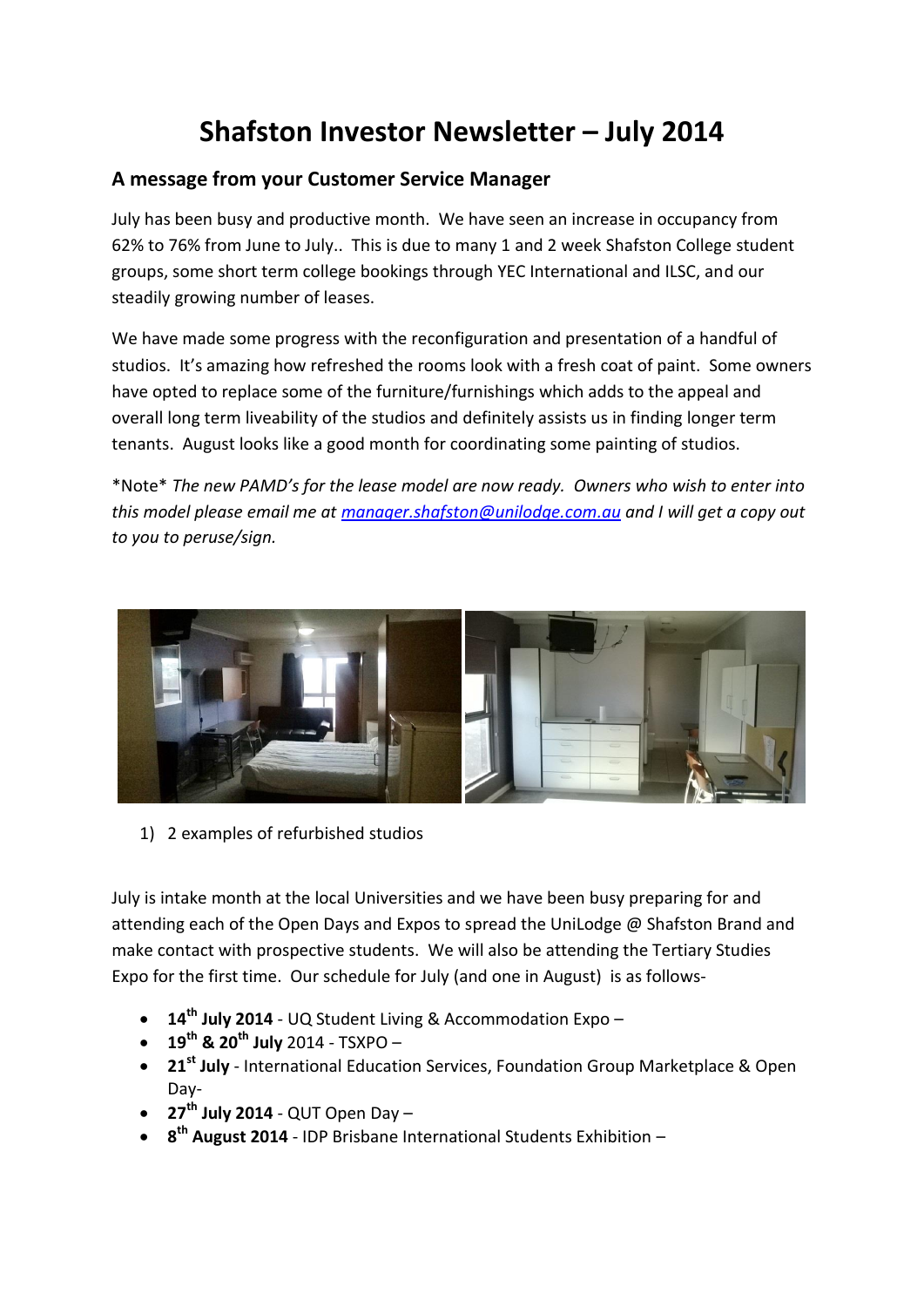## **Shafston Investor Newsletter – July 2014**

## **A message from your Customer Service Manager**

July has been busy and productive month. We have seen an increase in occupancy from 62% to 76% from June to July.. This is due to many 1 and 2 week Shafston College student groups, some short term college bookings through YEC International and ILSC, and our steadily growing number of leases.

We have made some progress with the reconfiguration and presentation of a handful of studios. It's amazing how refreshed the rooms look with a fresh coat of paint. Some owners have opted to replace some of the furniture/furnishings which adds to the appeal and overall long term liveability of the studios and definitely assists us in finding longer term tenants. August looks like a good month for coordinating some painting of studios.

\*Note\* *The new PAMD's for the lease model are now ready. Owners who wish to enter into this model please email me at [manager.shafston@unilodge.com.au](mailto:manager.shafston@unilodge.com.au) and I will get a copy out to you to peruse/sign.*



1) 2 examples of refurbished studios

July is intake month at the local Universities and we have been busy preparing for and attending each of the Open Days and Expos to spread the UniLodge @ Shafston Brand and make contact with prospective students. We will also be attending the Tertiary Studies Expo for the first time. Our schedule for July (and one in August) is as follows-

- **14th July 2014** UQ Student Living & Accommodation Expo –
- **19th & 20th July** 2014 TSXPO –
- **21st July** International Education Services, Foundation Group Marketplace & Open Day-
- **27th July 2014** QUT Open Day –
- **8<sup>th</sup> August 2014** IDP Brisbane International Students Exhibition –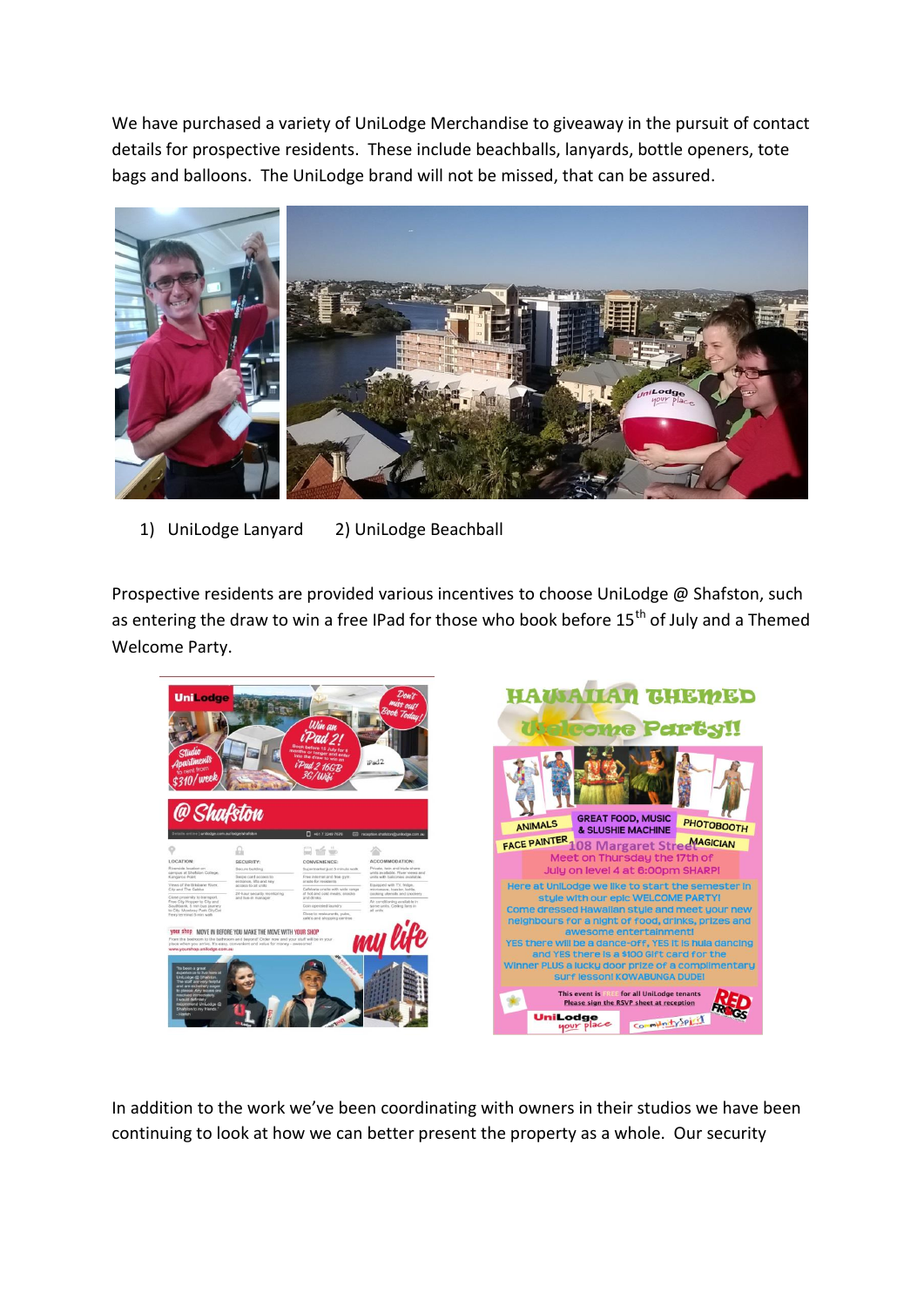We have purchased a variety of UniLodge Merchandise to giveaway in the pursuit of contact details for prospective residents. These include beachballs, lanyards, bottle openers, tote bags and balloons. The UniLodge brand will not be missed, that can be assured.



1) UniLodge Lanyard 2) UniLodge Beachball

Prospective residents are provided various incentives to choose UniLodge @ Shafston, such as entering the draw to win a free IPad for those who book before 15<sup>th</sup> of July and a Themed Welcome Party.



In addition to the work we've been coordinating with owners in their studios we have been continuing to look at how we can better present the property as a whole. Our security